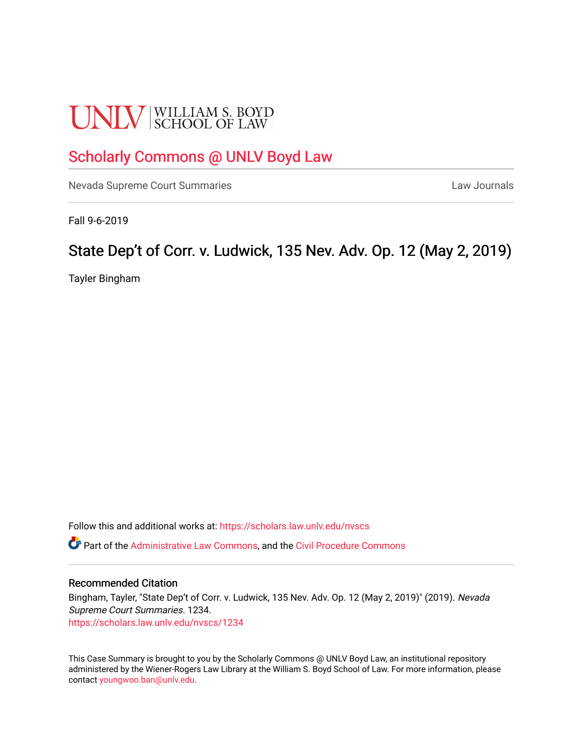# **UNLV** SCHOOL OF LAW

# [Scholarly Commons @ UNLV Boyd Law](https://scholars.law.unlv.edu/)

[Nevada Supreme Court Summaries](https://scholars.law.unlv.edu/nvscs) **Law Journals** Law Journals

Fall 9-6-2019

# State Dep't of Corr. v. Ludwick, 135 Nev. Adv. Op. 12 (May 2, 2019)

Tayler Bingham

Follow this and additional works at: [https://scholars.law.unlv.edu/nvscs](https://scholars.law.unlv.edu/nvscs?utm_source=scholars.law.unlv.edu%2Fnvscs%2F1234&utm_medium=PDF&utm_campaign=PDFCoverPages)

Part of the [Administrative Law Commons,](http://network.bepress.com/hgg/discipline/579?utm_source=scholars.law.unlv.edu%2Fnvscs%2F1234&utm_medium=PDF&utm_campaign=PDFCoverPages) and the [Civil Procedure Commons](http://network.bepress.com/hgg/discipline/584?utm_source=scholars.law.unlv.edu%2Fnvscs%2F1234&utm_medium=PDF&utm_campaign=PDFCoverPages)

## Recommended Citation

Bingham, Tayler, "State Dep't of Corr. v. Ludwick, 135 Nev. Adv. Op. 12 (May 2, 2019)" (2019). Nevada Supreme Court Summaries. 1234. [https://scholars.law.unlv.edu/nvscs/1234](https://scholars.law.unlv.edu/nvscs/1234?utm_source=scholars.law.unlv.edu%2Fnvscs%2F1234&utm_medium=PDF&utm_campaign=PDFCoverPages) 

This Case Summary is brought to you by the Scholarly Commons @ UNLV Boyd Law, an institutional repository administered by the Wiener-Rogers Law Library at the William S. Boyd School of Law. For more information, please contact [youngwoo.ban@unlv.edu](mailto:youngwoo.ban@unlv.edu).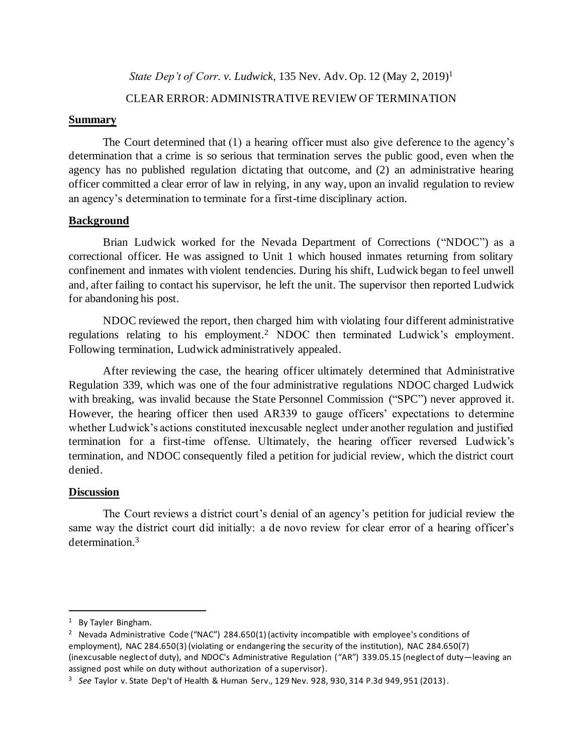*State Dep't of Corr. v. Ludwick*, 135 Nev. Adv. Op. 12 (May 2, 2019)<sup>1</sup>

## CLEAR ERROR: ADMINISTRATIVE REVIEW OF TERMINATION

## **Summary**

The Court determined that (1) a hearing officer must also give deference to the agency's determination that a crime is so serious that termination serves the public good, even when the agency has no published regulation dictating that outcome, and (2) an administrative hearing officer committed a clear error of law in relying, in any way, upon an invalid regulation to review an agency's determination to terminate for a first-time disciplinary action.

# **Background**

Brian Ludwick worked for the Nevada Department of Corrections ("NDOC") as a correctional officer. He was assigned to Unit 1 which housed inmates returning from solitary confinement and inmates with violent tendencies. During his shift, Ludwick began to feel unwell and, after failing to contact his supervisor, he left the unit. The supervisor then reported Ludwick for abandoning his post.

NDOC reviewed the report, then charged him with violating four different administrative regulations relating to his employment.<sup>2</sup> NDOC then terminated Ludwick's employment. Following termination, Ludwick administratively appealed.

After reviewing the case, the hearing officer ultimately determined that Administrative Regulation 339, which was one of the four administrative regulations NDOC charged Ludwick with breaking, was invalid because the State Personnel Commission ("SPC") never approved it. However, the hearing officer then used AR339 to gauge officers' expectations to determine whether Ludwick's actions constituted inexcusable neglect under another regulation and justified termination for a first-time offense. Ultimately, the hearing officer reversed Ludwick's termination, and NDOC consequently filed a petition for judicial review, which the district court denied.

# **Discussion**

The Court reviews a district court's denial of an agency's petition for judicial review the same way the district court did initially: a de novo review for clear error of a hearing officer's determination.<sup>3</sup>

<sup>1</sup> By Tayler Bingham.

<sup>&</sup>lt;sup>2</sup> Nevada Administrative Code ("NAC") 284.650(1) (activity incompatible with employee's conditions of employment), NAC 284.650(3) (violating or endangering the security of the institution), NAC 284.650(7) (inexcusable neglect of duty), and NDOC's Administrative Regulation ("AR") 339.05.15 (neglect of duty—leaving an assigned post while on duty without authorization of a supervisor).

<sup>3</sup> *See* Taylor v. State Dep't of Health & Human Serv., 129 Nev. 928, 930, 314 P.3d 949, 951 (2013).